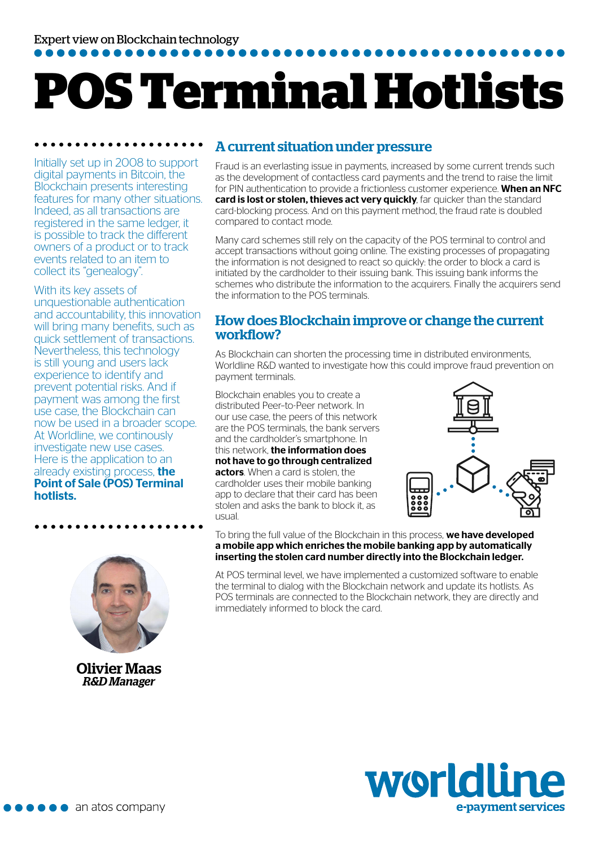# **POS Terminal Hotlists**

Initially set up in 2008 to support digital payments in Bitcoin, the Blockchain presents interesting features for many other situations. Indeed, as all transactions are registered in the same ledger, it is possible to track the different owners of a product or to track events related to an item to collect its "genealogy".

. . . . . . . . . . . . . . . . . .

With its key assets of unquestionable authentication and accountability, this innovation will bring many benefits, such as quick settlement of transactions. Nevertheless, this technology is still young and users lack experience to identify and prevent potential risks. And if payment was among the first use case, the Blockchain can now be used in a broader scope. At Worldline, we continously investigate new use cases. Here is the application to an already existing process, the Point of Sale (POS) Terminal hotlists.



Olivier Maas *R&D Manager*

## A current situation under pressure

Fraud is an everlasting issue in payments, increased by some current trends such as the development of contactless card payments and the trend to raise the limit for PIN authentication to provide a frictionless customer experience. When an NFC card is lost or stolen, thieves act very quickly, far quicker than the standard card-blocking process. And on this payment method, the fraud rate is doubled compared to contact mode.

Many card schemes still rely on the capacity of the POS terminal to control and accept transactions without going online. The existing processes of propagating the information is not designed to react so quickly: the order to block a card is initiated by the cardholder to their issuing bank. This issuing bank informs the schemes who distribute the information to the acquirers. Finally the acquirers send the information to the POS terminals.

## How does Blockchain improve or change the current workflow?

As Blockchain can shorten the processing time in distributed environments, Worldline R&D wanted to investigate how this could improve fraud prevention on payment terminals.

Blockchain enables you to create a distributed Peer–to-Peer network. In our use case, the peers of this network are the POS terminals, the bank servers and the cardholder's smartphone. In this network. **the information does** not have to go through centralized actors. When a card is stolen, the cardholder uses their mobile banking app to declare that their card has been stolen and asks the bank to block it, as usual.



To bring the full value of the Blockchain in this process, we have developed a mobile app which enriches the mobile banking app by automatically inserting the stolen card number directly into the Blockchain ledger.

At POS terminal level, we have implemented a customized software to enable the terminal to dialog with the Blockchain network and update its hotlists. As POS terminals are connected to the Blockchain network, they are directly and immediately informed to block the card.